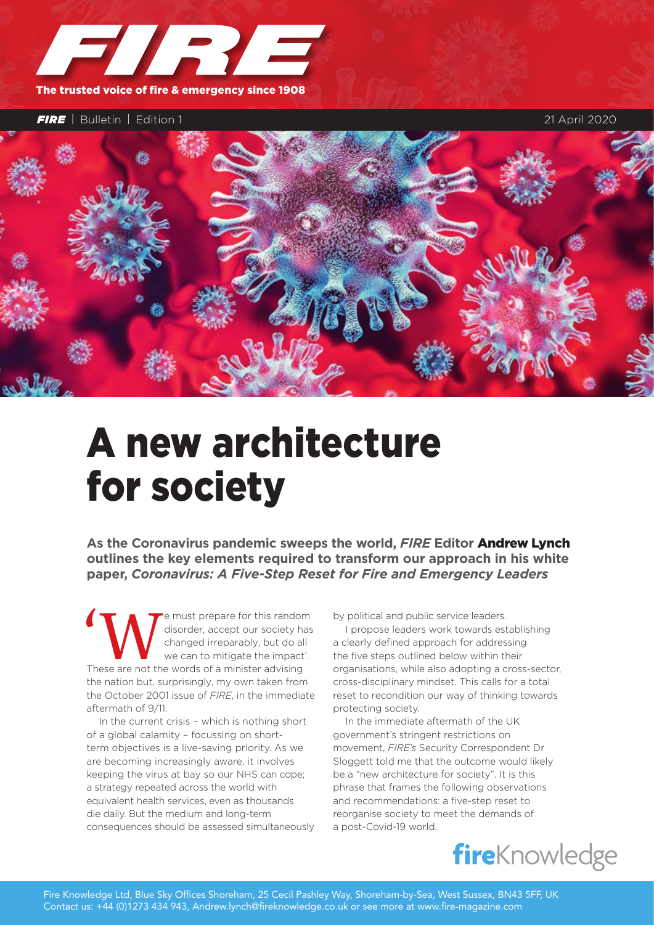

*FIRE* | Bulletin | Edition 1 21 April 2020



# A new architecture for society

**As the Coronavirus pandemic sweeps the world,** *FIRE* **Editor** Andrew Lynch **outlines the key elements required to transform our approach in his white paper,** *Coronavirus: A Five-Step Reset for Fire and Emergency Leaders*

'We must prepare for this random These are not the words of a minister advising disorder, accept our society has changed irreparably, but do all we can to mitigate the impact'. the nation but, surprisingly, my own taken from the October 2001 issue of *FIRE*, in the immediate aftermath of 9/11.

In the current crisis – which is nothing short of a global calamity – focussing on shortterm objectives is a live-saving priority. As we are becoming increasingly aware, it involves keeping the virus at bay so our NHS can cope; a strategy repeated across the world with equivalent health services, even as thousands die daily. But the medium and long-term consequences should be assessed simultaneously by political and public service leaders.

I propose leaders work towards establishing a clearly defined approach for addressing the five steps outlined below within their organisations, while also adopting a cross-sector, cross-disciplinary mindset. This calls for a total reset to recondition our way of thinking towards protecting society.

In the immediate aftermath of the UK government's stringent restrictions on movement, *FIRE's* Security Correspondent Dr Sloggett told me that the outcome would likely be a "new architecture for society". It is this phrase that frames the following observations and recommendations: a five-step reset to reorganise society to meet the demands of a post-Covid-19 world.

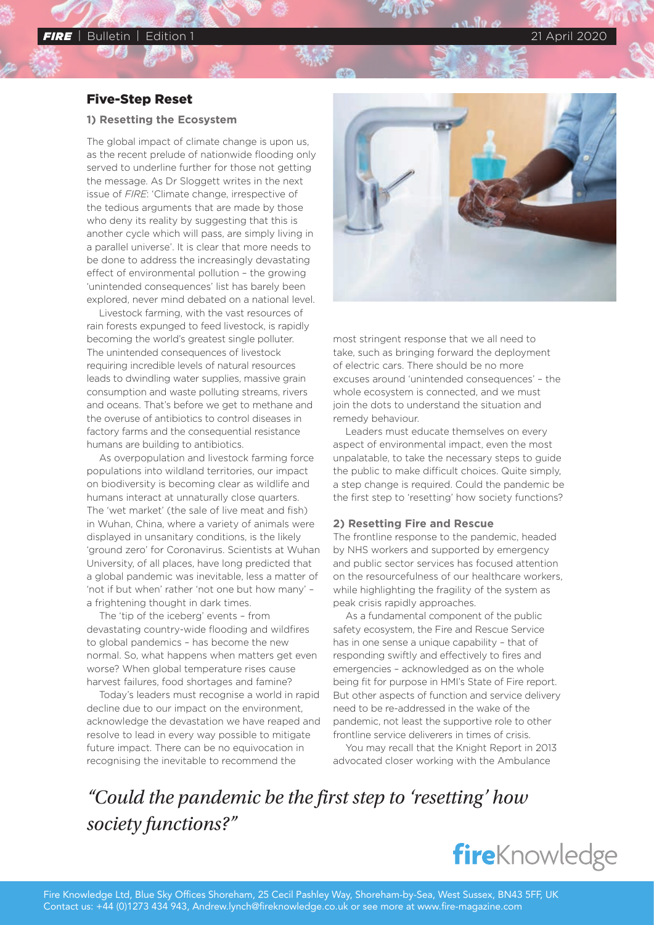### Five-Step Reset

#### **1) Resetting the Ecosystem**

The global impact of climate change is upon us, as the recent prelude of nationwide flooding only served to underline further for those not getting the message. As Dr Sloggett writes in the next issue of *FIRE*: 'Climate change, irrespective of the tedious arguments that are made by those who deny its reality by suggesting that this is another cycle which will pass, are simply living in a parallel universe'. It is clear that more needs to be done to address the increasingly devastating effect of environmental pollution – the growing 'unintended consequences' list has barely been explored, never mind debated on a national level.

Livestock farming, with the vast resources of rain forests expunged to feed livestock, is rapidly becoming the world's greatest single polluter. The unintended consequences of livestock requiring incredible levels of natural resources leads to dwindling water supplies, massive grain consumption and waste polluting streams, rivers and oceans. That's before we get to methane and the overuse of antibiotics to control diseases in factory farms and the consequential resistance humans are building to antibiotics.

As overpopulation and livestock farming force populations into wildland territories, our impact on biodiversity is becoming clear as wildlife and humans interact at unnaturally close quarters. The 'wet market' (the sale of live meat and fish) in Wuhan, China, where a variety of animals were displayed in unsanitary conditions, is the likely 'ground zero' for Coronavirus. Scientists at Wuhan University, of all places, have long predicted that a global pandemic was inevitable, less a matter of 'not if but when' rather 'not one but how many' – a frightening thought in dark times.

The 'tip of the iceberg' events – from devastating country-wide flooding and wildfires to global pandemics – has become the new normal. So, what happens when matters get even worse? When global temperature rises cause harvest failures, food shortages and famine?

Today's leaders must recognise a world in rapid decline due to our impact on the environment, acknowledge the devastation we have reaped and resolve to lead in every way possible to mitigate future impact. There can be no equivocation in recognising the inevitable to recommend the



most stringent response that we all need to take, such as bringing forward the deployment of electric cars. There should be no more excuses around 'unintended consequences' – the whole ecosystem is connected, and we must join the dots to understand the situation and remedy behaviour.

Leaders must educate themselves on every aspect of environmental impact, even the most unpalatable, to take the necessary steps to guide the public to make difficult choices. Quite simply, a step change is required. Could the pandemic be the first step to 'resetting' how society functions?

#### **2) Resetting Fire and Rescue**

The frontline response to the pandemic, headed by NHS workers and supported by emergency and public sector services has focused attention on the resourcefulness of our healthcare workers, while highlighting the fragility of the system as peak crisis rapidly approaches.

As a fundamental component of the public safety ecosystem, the Fire and Rescue Service has in one sense a unique capability – that of responding swiftly and effectively to fires and emergencies – acknowledged as on the whole being fit for purpose in HMI's State of Fire report. But other aspects of function and service delivery need to be re-addressed in the wake of the pandemic, not least the supportive role to other frontline service deliverers in times of crisis.

You may recall that the Knight Report in 2013 advocated closer working with the Ambulance

## *"Could the pandemic be the first step to 'resetting' how society functions?"*

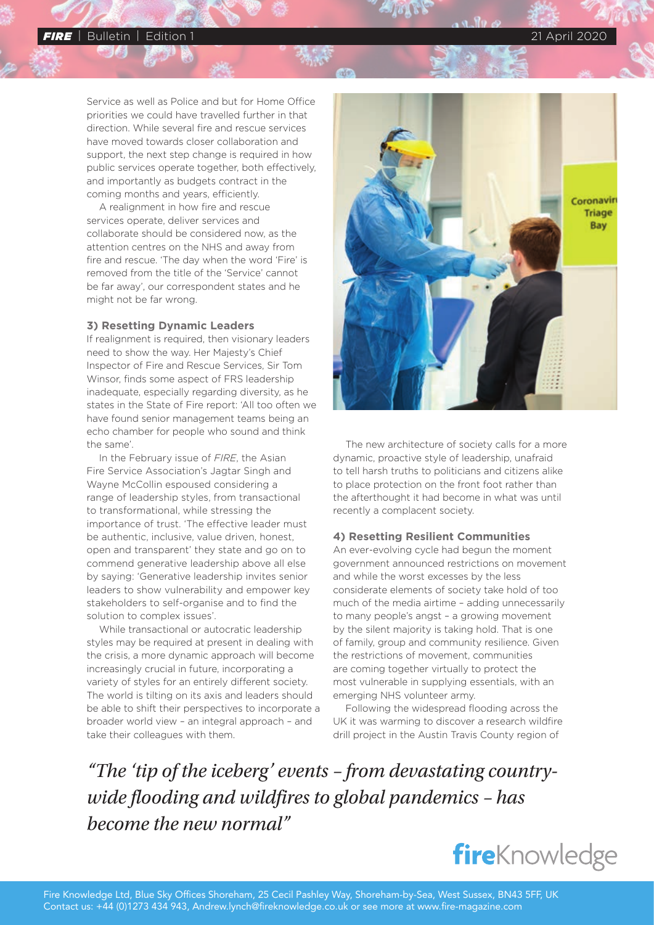#### *FIRE* | Bulletin | Edition 1 21 April 2020

Service as well as Police and but for Home Office priorities we could have travelled further in that direction. While several fire and rescue services have moved towards closer collaboration and support, the next step change is required in how public services operate together, both effectively, and importantly as budgets contract in the coming months and years, efficiently.

A realignment in how fire and rescue services operate, deliver services and collaborate should be considered now, as the attention centres on the NHS and away from fire and rescue. 'The day when the word 'Fire' is removed from the title of the 'Service' cannot be far away', our correspondent states and he might not be far wrong.

#### **3) Resetting Dynamic Leaders**

If realignment is required, then visionary leaders need to show the way. Her Majesty's Chief Inspector of Fire and Rescue Services, Sir Tom Winsor, finds some aspect of FRS leadership inadequate, especially regarding diversity, as he states in the State of Fire report: 'All too often we have found senior management teams being an echo chamber for people who sound and think the same'.

In the [February issue of](https://subscriber.pagesuite-professional.co.uk/subscribe.aspx?t=2135&eid=eebeeb87-bc2c-4280-b577-c19191bb094b) *FIRE*, the Asian Fire Service Association's Jagtar Singh and Wayne McCollin espoused considering a range of leadership styles, from transactional to transformational, while stressing the importance of trust. 'The effective leader must be authentic, inclusive, value driven, honest, open and transparent' they state and go on to commend generative leadership above all else by saying: 'Generative leadership invites senior leaders to show vulnerability and empower key stakeholders to self-organise and to find the solution to complex issues'.

While transactional or autocratic leadership styles may be required at present in dealing with the crisis, a more dynamic approach will become increasingly crucial in future, incorporating a variety of styles for an entirely different society. The world is tilting on its axis and leaders should be able to shift their perspectives to incorporate a broader world view – an integral approach – and take their colleagues with them.



The new architecture of society calls for a more dynamic, proactive style of leadership, unafraid to tell harsh truths to politicians and citizens alike to place protection on the front foot rather than the afterthought it had become in what was until recently a complacent society.

#### **4) Resetting Resilient Communities**

An ever-evolving cycle had begun the moment government announced restrictions on movement and while the worst excesses by the less considerate elements of society take hold of too much of the media airtime – adding unnecessarily to many people's angst – a growing movement by the silent majority is taking hold. That is one of family, group and community resilience. Given the restrictions of movement, communities are coming together virtually to protect the most vulnerable in supplying essentials, with an emerging NHS volunteer army.

Following the widespread flooding across the UK it was warming to discover a research wildfire drill project in the Austin Travis County region of

*"The 'tip of the iceberg' events – from devastating countrywide flooding and wildfires to global pandemics – has become the new normal"*

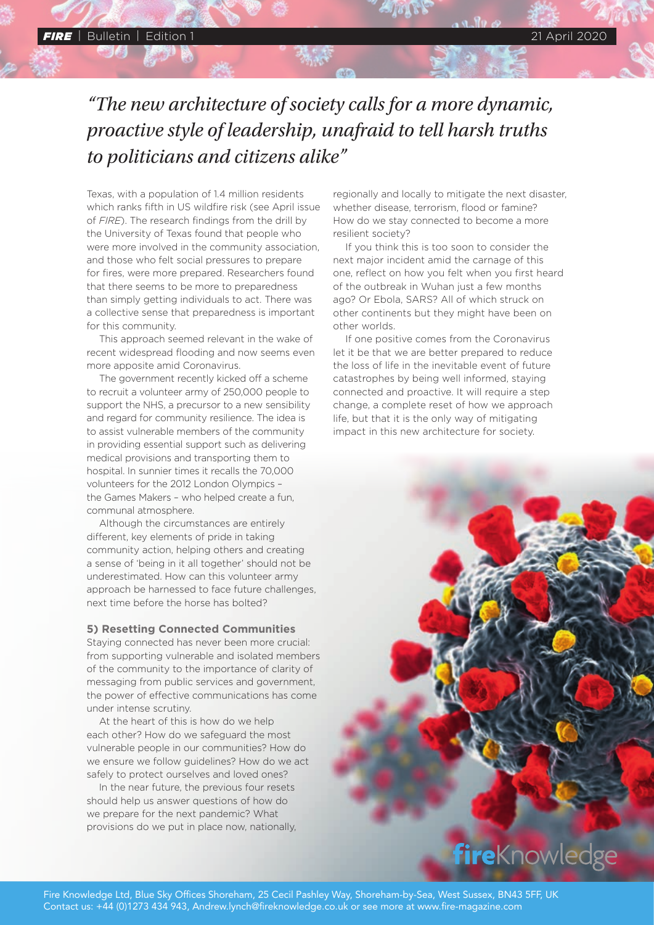# *"The new architecture of society calls for a more dynamic, proactive style of leadership, unafraid to tell harsh truths to politicians and citizens alike"*

Texas, with a population of 1.4 million residents which ranks fifth in US wildfire risk ([see April issue](https://subscriber.pagesuite-professional.co.uk/subscribe.aspx?t=2135&eid=eebeeb87-bc2c-4280-b577-c19191bb094b)  of *[FIRE](https://subscriber.pagesuite-professional.co.uk/subscribe.aspx?t=2135&eid=eebeeb87-bc2c-4280-b577-c19191bb094b)*). The research findings from the drill by the University of Texas found that people who were more involved in the community association, and those who felt social pressures to prepare for fires, were more prepared. Researchers found that there seems to be more to preparedness than simply getting individuals to act. There was a collective sense that preparedness is important for this community.

This approach seemed relevant in the wake of recent widespread flooding and now seems even more apposite amid Coronavirus.

The government recently kicked off a scheme to recruit a volunteer army of 250,000 people to support the NHS, a precursor to a new sensibility and regard for community resilience. The idea is to assist vulnerable members of the community in providing essential support such as delivering medical provisions and transporting them to hospital. In sunnier times it recalls the 70,000 volunteers for the 2012 London Olympics – the Games Makers – who helped create a fun, communal atmosphere.

Although the circumstances are entirely different, key elements of pride in taking community action, helping others and creating a sense of 'being in it all together' should not be underestimated. How can this volunteer army approach be harnessed to face future challenges, next time before the horse has bolted?

#### **5) Resetting Connected Communities**

Staying connected has never been more crucial: from supporting vulnerable and isolated members of the community to the importance of clarity of messaging from public services and government, the power of effective communications has come under intense scrutiny.

At the heart of this is how do we help each other? How do we safeguard the most vulnerable people in our communities? How do we ensure we follow guidelines? How do we act safely to protect ourselves and loved ones?

In the near future, the previous four resets should help us answer questions of how do we prepare for the next pandemic? What provisions do we put in place now, nationally,

regionally and locally to mitigate the next disaster, whether disease, terrorism, flood or famine? How do we stay connected to become a more resilient society?

If you think this is too soon to consider the next major incident amid the carnage of this one, reflect on how you felt when you first heard of the outbreak in Wuhan just a few months ago? Or Ebola, SARS? All of which struck on other continents but they might have been on other worlds.

If one positive comes from the Coronavirus let it be that we are better prepared to reduce the loss of life in the inevitable event of future catastrophes by being well informed, staying connected and proactive. It will require a step change, a complete reset of how we approach life, but that it is the only way of mitigating impact in this new architecture for society.

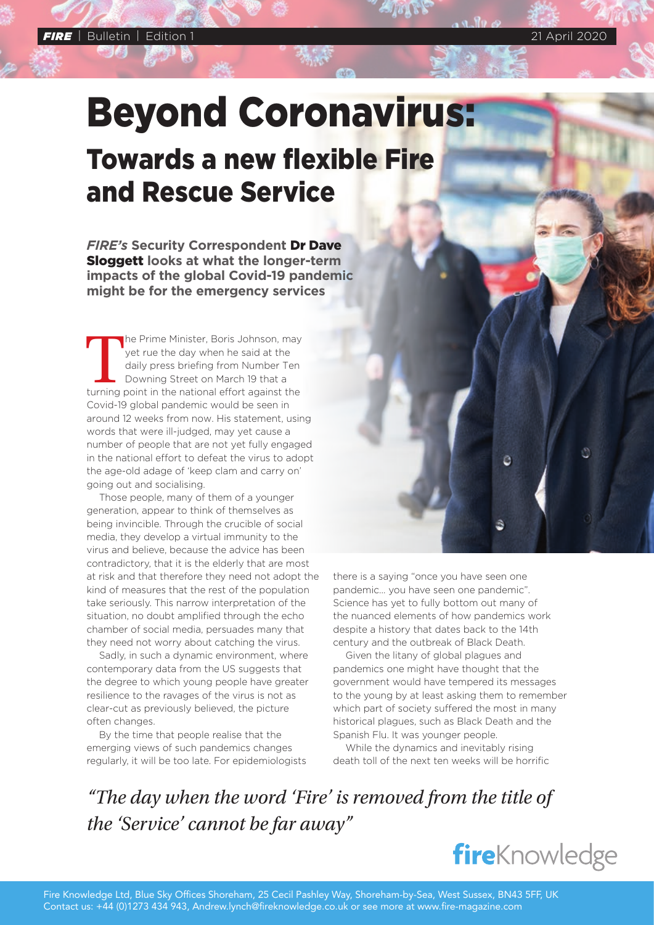Beyond Coronavirus: Towards a new flexible Fire and Rescue Service

*FIRE's* **Security Correspondent** Dr Dave Sloggett **looks at what the longer-term impacts of the global Covid-19 pandemic might be for the emergency services**

The Prime Minister, Boris Johnson, may yet rue the day when he said at the daily press briefing from Number Ten Downing Street on March 19 that a turning point in the national effort against the yet rue the day when he said at the daily press briefing from Number Ten Downing Street on March 19 that a Covid-19 global pandemic would be seen in around 12 weeks from now. His statement, using words that were ill-judged, may yet cause a number of people that are not yet fully engaged in the national effort to defeat the virus to adopt the age-old adage of 'keep clam and carry on' going out and socialising.

Those people, many of them of a younger generation, appear to think of themselves as being invincible. Through the crucible of social media, they develop a virtual immunity to the virus and believe, because the advice has been contradictory, that it is the elderly that are most at risk and that therefore they need not adopt the kind of measures that the rest of the population take seriously. This narrow interpretation of the situation, no doubt amplified through the echo chamber of social media, persuades many that they need not worry about catching the virus.

Sadly, in such a dynamic environment, where contemporary data from the US suggests that the degree to which young people have greater resilience to the ravages of the virus is not as clear-cut as previously believed, the picture often changes.

By the time that people realise that the emerging views of such pandemics changes regularly, it will be too late. For epidemiologists there is a saying "once you have seen one pandemic… you have seen one pandemic". Science has yet to fully bottom out many of the nuanced elements of how pandemics work despite a history that dates back to the 14th century and the outbreak of Black Death.

ē

Given the litany of global plagues and pandemics one might have thought that the government would have tempered its messages to the young by at least asking them to remember which part of society suffered the most in many historical plagues, such as Black Death and the Spanish Flu. It was younger people.

While the dynamics and inevitably rising death toll of the next ten weeks will be horrific

*"The day when the word 'Fire' is removed from the title of the 'Service' cannot be far away"*

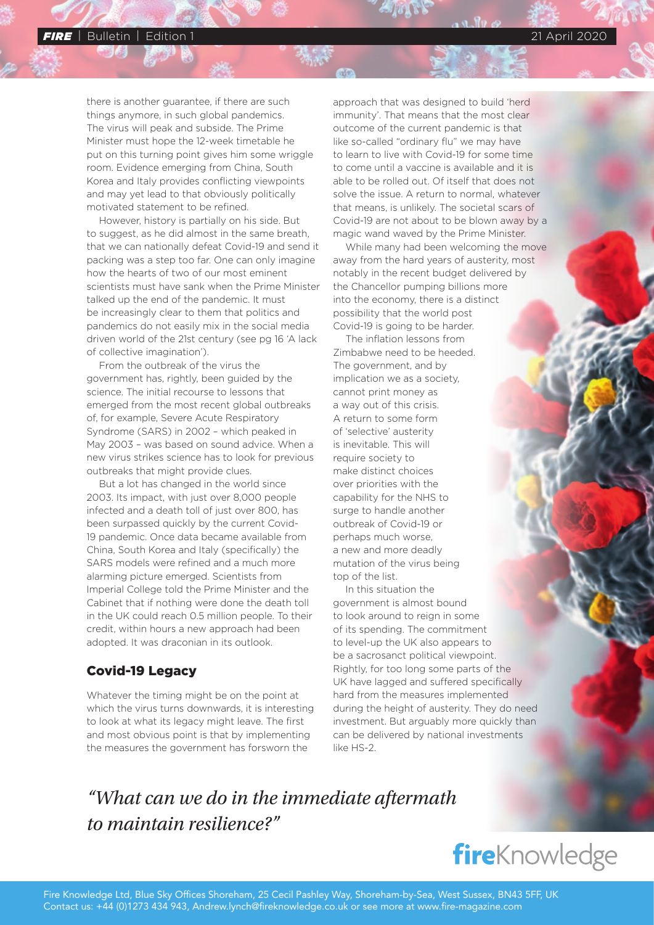there is another guarantee, if there are such things anymore, in such global pandemics. The virus will peak and subside. The Prime Minister must hope the 12-week timetable he put on this turning point gives him some wriggle room. Evidence emerging from China, South Korea and Italy provides conflicting viewpoints and may yet lead to that obviously politically motivated statement to be refined.

However, history is partially on his side. But to suggest, as he did almost in the same breath, that we can nationally defeat Covid-19 and send it packing was a step too far. One can only imagine how the hearts of two of our most eminent scientists must have sank when the Prime Minister talked up the end of the pandemic. It must be increasingly clear to them that politics and pandemics do not easily mix in the social media driven world of the 21st century (see pg 16 'A lack of collective imagination').

From the outbreak of the virus the government has, rightly, been guided by the science. The initial recourse to lessons that emerged from the most recent global outbreaks of, for example, Severe Acute Respiratory Syndrome (SARS) in 2002 – which peaked in May 2003 – was based on sound advice. When a new virus strikes science has to look for previous outbreaks that might provide clues.

But a lot has changed in the world since 2003. Its impact, with just over 8,000 people infected and a death toll of just over 800, has been surpassed quickly by the current Covid-19 pandemic. Once data became available from China, South Korea and Italy (specifically) the SARS models were refined and a much more alarming picture emerged. Scientists from Imperial College told the Prime Minister and the Cabinet that if nothing were done the death toll in the UK could reach 0.5 million people. To their credit, within hours a new approach had been adopted. It was draconian in its outlook.

## Covid-19 Legacy

Whatever the timing might be on the point at which the virus turns downwards, it is interesting to look at what its legacy might leave. The first and most obvious point is that by implementing the measures the government has forsworn the

approach that was designed to build 'herd immunity'. That means that the most clear outcome of the current pandemic is that like so-called "ordinary flu" we may have to learn to live with Covid-19 for some time to come until a vaccine is available and it is able to be rolled out. Of itself that does not solve the issue. A return to normal, whatever that means, is unlikely. The societal scars of Covid-19 are not about to be blown away by a magic wand waved by the Prime Minister.

While many had been welcoming the move away from the hard years of austerity, most notably in the recent budget delivered by the Chancellor pumping billions more into the economy, there is a distinct possibility that the world post Covid-19 is going to be harder.

The inflation lessons from Zimbabwe need to be heeded. The government, and by implication we as a society, cannot print money as a way out of this crisis. A return to some form of 'selective' austerity is inevitable. This will require society to make distinct choices over priorities with the capability for the NHS to surge to handle another outbreak of Covid-19 or perhaps much worse, a new and more deadly mutation of the virus being top of the list.

In this situation the government is almost bound to look around to reign in some of its spending. The commitment to level-up the UK also appears to be a sacrosanct political viewpoint. Rightly, for too long some parts of the UK have lagged and suffered specifically hard from the measures implemented during the height of austerity. They do need investment. But arguably more quickly than can be delivered by national investments like HS-2.

# *"What can we do in the immediate aftermath to maintain resilience?"*